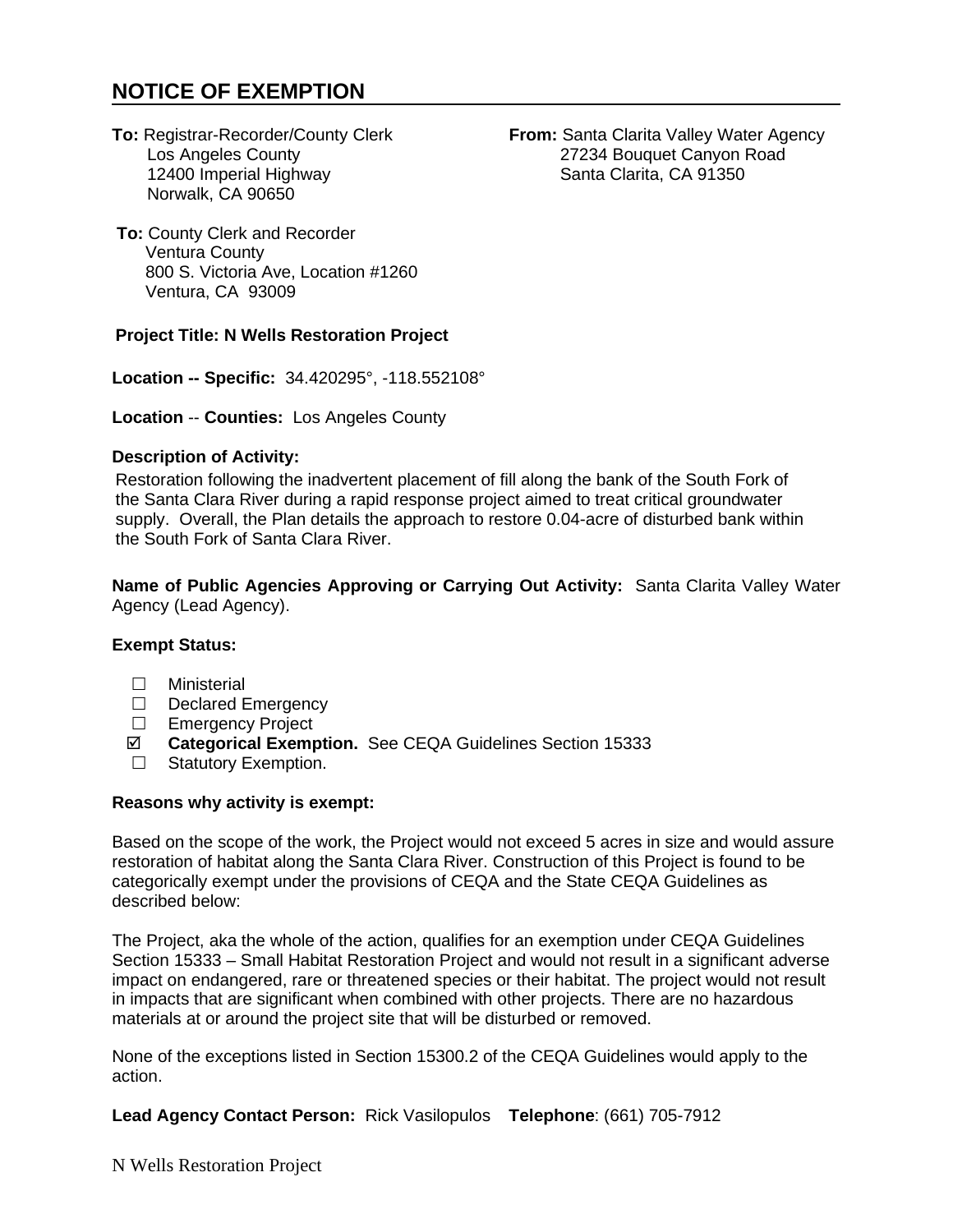# **NOTICE OF EXEMPTION**

12400 Imperial Highway Norwalk, CA 90650

**To: Registrar-Recorder/County Clerk <b>From:** Santa Clarita Valley Water Agency<br>Los Angeles County **1999** 27234 Bouquet Canyon Road 27234 Bouquet Canyon Road<br>Santa Clarita, CA 91350

**To:** County Clerk and Recorder Ventura County 800 S. Victoria Ave, Location #1260 Ventura, CA 93009

### **Project Title: N Wells Restoration Project**

**Location -- Specific:** 34.420295°, -118.552108°

**Location** -- **Counties:** Los Angeles County

### **Description of Activity:**

Restoration following the inadvertent placement of fill along the bank of the South Fork of the Santa Clara River during a rapid response project aimed to treat critical groundwater supply. Overall, the Plan details the approach to restore 0.04-acre of disturbed bank within the South Fork of Santa Clara River.

**Name of Public Agencies Approving or Carrying Out Activity:** Santa Clarita Valley Water Agency (Lead Agency).

## **Exempt Status:**

- □ Ministerial
- Declared Emergency
- □ Emergency Project
- **Categorical Exemption.** See CEQA Guidelines Section 15333
- □ Statutory Exemption.

#### **Reasons why activity is exempt:**

Based on the scope of the work, the Project would not exceed 5 acres in size and would assure restoration of habitat along the Santa Clara River. Construction of this Project is found to be categorically exempt under the provisions of CEQA and the State CEQA Guidelines as described below:

The Project, aka the whole of the action, qualifies for an exemption under CEQA Guidelines Section 15333 – Small Habitat Restoration Project and would not result in a significant adverse impact on endangered, rare or threatened species or their habitat. The project would not result in impacts that are significant when combined with other projects. There are no hazardous materials at or around the project site that will be disturbed or removed.

None of the exceptions listed in Section 15300.2 of the CEQA Guidelines would apply to the action.

**Lead Agency Contact Person:** Rick Vasilopulos **Telephone**: (661) 705-7912